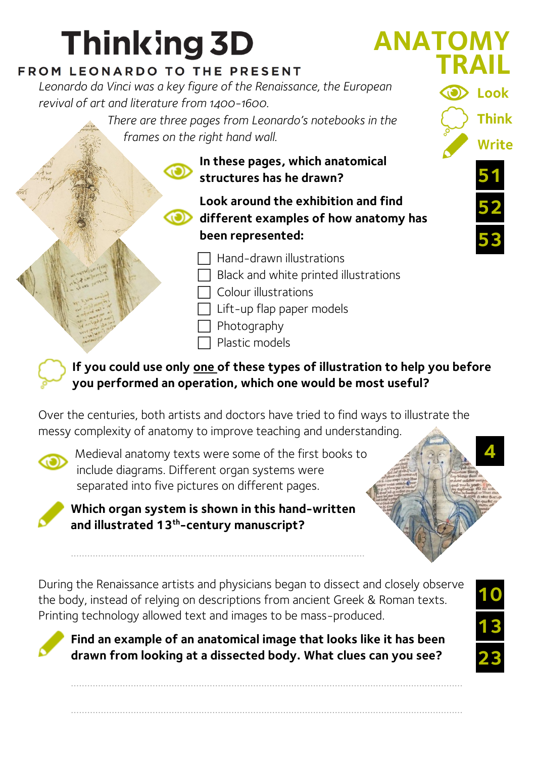## **Thinking 3D**

## FROM LEONARDO TO THE PRESENT

*Leonardo da Vinci was a key figure of the Renaissance, the European revival of art and literature from 1400-1600.*

*There are three pages from Leonardo's notebooks in the frames on the right hand wall.*

> **In these pages, which anatomical structures has he drawn?**

**Look around the exhibition and find different examples of how anatomy has been represented:**

Hand-drawn illustrations

 $\Box$  Black and white printed illustrations

Colour illustrations

- Lift-up flap paper models
- Photography
- Plastic models

**If you could use only one of these types of illustration to help you before you performed an operation, which one would be most useful?**

Over the centuries, both artists and doctors have tried to find ways to illustrate the messy complexity of anatomy to improve teaching and understanding.



Medieval anatomy texts were some of the first books to include diagrams. Different organ systems were separated into five pictures on different pages.



**Which organ system is shown in this hand-written and illustrated 13th -century manuscript?**

………………………………………………………………………………………………

During the Renaissance artists and physicians began to dissect and closely observe the body, instead of relying on descriptions from ancient Greek & Roman texts. Printing technology allowed text and images to be mass-produced.



**Find an example of an anatomical image that looks like it has been drawn from looking at a dissected body. What clues can you see?**

………………………………………………………………………………………………………………………………

………………………………………………………………………………………………………………………………



**10**

**52**

**51**

Look

**Think** 

**Write** 

**ANATOMY**

**TRAIL**

**53**

**13**

**23**